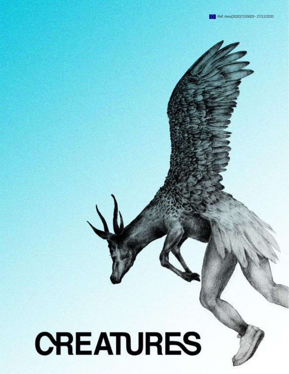# **CREATURES**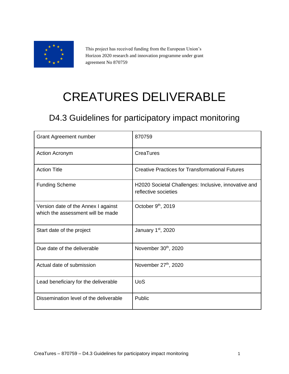

This project has received funding from the European Union's Horizon 2020 research and innovation programme under grant agreement No 870759

# CREATURES DELIVERABLE

## D4.3 Guidelines for participatory impact monitoring

| <b>Grant Agreement number</b>                                            | 870759                                                                       |
|--------------------------------------------------------------------------|------------------------------------------------------------------------------|
| <b>Action Acronym</b>                                                    | CreaTures                                                                    |
| <b>Action Title</b>                                                      | <b>Creative Practices for Transformational Futures</b>                       |
| <b>Funding Scheme</b>                                                    | H2020 Societal Challenges: Inclusive, innovative and<br>reflective societies |
| Version date of the Annex I against<br>which the assessment will be made | October 9 <sup>th</sup> , 2019                                               |
| Start date of the project                                                | January 1st, 2020                                                            |
| Due date of the deliverable                                              | November 30th, 2020                                                          |
| Actual date of submission                                                | November 27th, 2020                                                          |
| Lead beneficiary for the deliverable                                     | <b>UoS</b>                                                                   |
| Dissemination level of the deliverable                                   | Public                                                                       |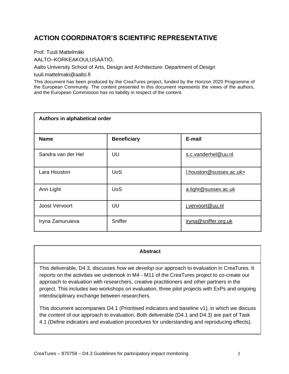## **ACTION COORDINATOR'S SCIENTIFIC REPRESENTATIVE**

Prof. Tuuli Mattelmäki

AALTO–KORKEAKOULUSÄÄTIÖ,

Aalto University School of Arts, Design and Architecture: Department of Design

tuuli.mattelmaki@aalto.fi

This document has been produced by the CreaTures project, funded by the Horizon 2020 Programme of the European Community. The content presented in this document represents the views of the authors, and the European Commission has no liability in respect of the content.

| Authors in alphabetical order |                    |                         |  |
|-------------------------------|--------------------|-------------------------|--|
| <b>Name</b>                   | <b>Beneficiary</b> | E-mail                  |  |
| Sandra van der Hel            | UU                 | s.c.vanderhel@uu.nl     |  |
| Lara Houston                  | <b>UoS</b>         | I.houston@sussex.ac.uk> |  |
| Ann Light                     | <b>UoS</b>         | a.light@sussex.ac.uk    |  |
| Joost Vervoort                | UU                 | j.vervoort@uu.nl        |  |
| Iryna Zamuruieva              | Sniffer            | iryna@sniffer.org.uk    |  |

#### **Abstract**

This deliverable, D4.3, discusses *how we develop* our approach to evaluation in CreaTures. It reports on the activities we undertook in M4 - M11 of the CreaTures project to co-create our approach to evaluation with researchers, creative practitioners and other partners in the project. This includes two workshops on evaluation, three pilot projects with ExPs and ongoing interdisciplinary exchange between researchers.

This document accompanies D4.1 (Prioritised indicators and baseline v1), in which we discuss the *content* of our approach to evaluation. Both deliverable (D4.1 and D4.3) are part of Task 4.1 (Define indicators and evaluation procedures for understanding and reproducing effects).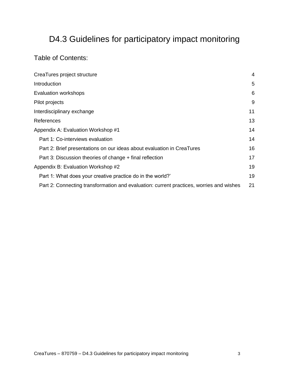## D4.3 Guidelines for participatory impact monitoring

## Table of Contents:

| CreaTures project structure                                                             | $\overline{4}$ |
|-----------------------------------------------------------------------------------------|----------------|
| Introduction                                                                            | 5              |
| Evaluation workshops                                                                    | 6              |
| Pilot projects                                                                          | 9              |
| Interdisciplinary exchange                                                              | 11             |
| References                                                                              | 13             |
| Appendix A: Evaluation Workshop #1                                                      | 14             |
| Part 1: Co-interviews evaluation                                                        | 14             |
| Part 2: Brief presentations on our ideas about evaluation in CreaTures                  | 16             |
| Part 3: Discussion theories of change + final reflection                                |                |
| Appendix B: Evaluation Workshop #2                                                      |                |
| Part 1: What does your creative practice do in the world?'                              | 19             |
| Part 2: Connecting transformation and evaluation: current practices, worries and wishes | 21             |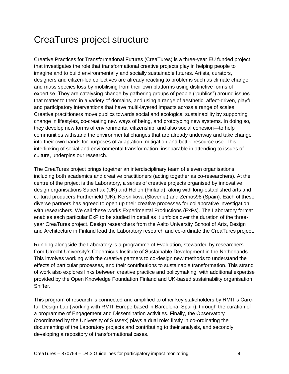## <span id="page-4-0"></span>CreaTures project structure

Creative Practices for Transformational Futures (CreaTures) is a three-year EU funded project that investigates the role that transformational creative projects play in helping people to imagine and to build environmentally and socially sustainable futures. Artists, curators, designers and citizen-led collectives are already reacting to problems such as climate change and mass species loss by mobilising from their own platforms using distinctive forms of expertise. They are catalysing change by gathering groups of people ("publics") around issues that matter to them in a variety of domains, and using a range of aesthetic, affect-driven, playful and participatory interventions that have multi-layered impacts across a range of scales. Creative practitioners move publics towards social and ecological sustainability by supporting change in lifestyles, co-creating new ways of being, and prototyping new systems. In doing so, they develop new forms of environmental citizenship, and also social cohesion—to help communities withstand the environmental changes that are already underway and take change into their own hands for purposes of adaptation, mitigation and better resource use. This interlinking of social and environmental transformation, inseparable in attending to issues of culture, underpins our research.

The CreaTures project brings together an interdisciplinary team of eleven organisations including both academics and creative practitioners (acting together as co-researchers). At the centre of the project is the Laboratory, a series of creative projects organised by innovative design organisations Superflux (UK) and Hellon (Finland); along with long-established arts and cultural producers Furtherfield (UK), Kersnikova (Slovenia) and Zemos98 (Spain). Each of these diverse partners has agreed to open up their creative processes for collaborative investigation with researchers. We call these works Experimental Productions (ExPs). The Laboratory format enables each particular ExP to be studied in detail as it unfolds over the duration of the threeyear CreaTures project. Design researchers from the Aalto University School of Arts, Design and Architecture in Finland lead the Laboratory research and co-ordinate the CreaTures project.

Running alongside the Laboratory is a programme of Evaluation, stewarded by researchers from Utrecht University's Copernicus Institute of Sustainable Development in the Netherlands. This involves working with the creative partners to co-design new methods to understand the effects of particular processes, and their contributions to sustainable transformation. This strand of work also explores links between creative practice and policymaking, with additional expertise provided by the Open Knowledge Foundation Finland and UK-based sustainability organisation Sniffer.

This program of research is connected and amplified to other key stakeholders by RMIT's Carefull Design Lab (working with RMIT Europe based in Barcelona, Spain), through the curation of a programme of Engagement and Dissemination activities. Finally, the Observatory (coordinated by the University of Sussex) plays a dual role: firstly in co-ordinating the documenting of the Laboratory projects and contributing to their analysis, and secondly developing a repository of transformational cases.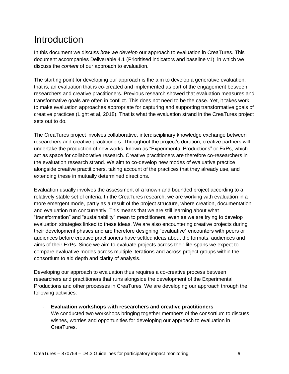# <span id="page-5-0"></span>**Introduction**

In this document we discuss *how we develop* our approach to evaluation in CreaTures. This document accompanies Deliverable 4.1 (Prioritised indicators and baseline v1), in which we discuss the *content* of our approach to evaluation.

The starting point for developing our approach is the aim to develop a generative evaluation, that is, an evaluation that is co-created and implemented as part of the engagement between researchers and creative practitioners. Previous research showed that evaluation measures and transformative goals are often in conflict. This does not need to be the case. Yet, it takes work to make evaluation approaches appropriate for capturing and supporting transformative goals of creative practices (Light et al, 2018). That is what the evaluation strand in the CreaTures project sets out to do.

The CreaTures project involves collaborative, interdisciplinary knowledge exchange between researchers and creative practitioners. Throughout the project's duration, creative partners will undertake the production of new works, known as "Experimental Productions" or ExPs, which act as space for collaborative research. Creative practitioners are therefore co-researchers in the evaluation research strand. We aim to co-develop new modes of evaluative practice alongside creative practitioners, taking account of the practices that they already use, and extending these in mutually determined directions.

Evaluation usually involves the assessment of a known and bounded project according to a relatively stable set of criteria. In the CreaTures research, we are working with evaluation in a more emergent mode, partly as a result of the project structure, where creation, documentation and evaluation run concurrently. This means that we are still learning about what "transformation" and "sustainability" mean to practitioners, even as we are trying to develop evaluation strategies linked to these ideas. We are also encountering creative projects during their development phases and are therefore designing "evaluative" encounters with peers or audiences before creative practitioners have settled ideas about the formats, audiences and aims of their ExPs. Since we aim to evaluate projects across their life-spans we expect to compare evaluative modes across multiple iterations and across project groups within the consortium to aid depth and clarity of analysis.

Developing our approach to evaluation thus requires a co-creative process between researchers and practitioners that runs alongside the development of the Experimental Productions and other processes in CreaTures. We are developing our approach through the following activities:

- **Evaluation workshops with researchers and creative practitioners** We conducted two workshops bringing together members of the consortium to discuss wishes, worries and opportunities for developing our approach to evaluation in CreaTures.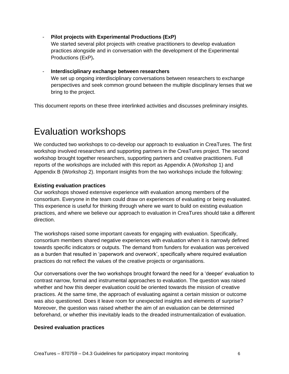- **Pilot projects with Experimental Productions (ExP)**

We started several pilot projects with creative practitioners to develop evaluation practices alongside and in conversation with the development of the Experimental Productions (ExP)**.** 

- **Interdisciplinary exchange between researchers** We set up ongoing interdisciplinary conversations between researchers to exchange perspectives and seek common ground between the multiple disciplinary lenses that we bring to the project.

This document reports on these three interlinked activities and discusses preliminary insights.

## <span id="page-6-0"></span>Evaluation workshops

We conducted two workshops to co-develop our approach to evaluation in CreaTures. The first workshop involved researchers and supporting partners in the CreaTures project. The second workshop brought together researchers, supporting partners and creative practitioners. Full reports of the workshops are included with this report as Appendix A (Workshop 1) and Appendix B (Workshop 2). Important insights from the two workshops include the following:

#### **Existing evaluation practices**

Our workshops showed extensive experience with evaluation among members of the consortium. Everyone in the team could draw on experiences of evaluating or being evaluated. This experience is useful for thinking through where we want to build on existing evaluation practices, and where we believe our approach to evaluation in CreaTures should take a different direction.

The workshops raised some important caveats for engaging with evaluation. Specifically, consortium members shared negative experiences with evaluation when it is narrowly defined towards specific indicators or outputs. The demand from funders for evaluation was perceived as a burden that resulted in 'paperwork and overwork', specifically where required evaluation practices do not reflect the values of the creative projects or organisations.

Our conversations over the two workshops brought forward the need for a 'deeper' evaluation to contrast narrow, formal and instrumental approaches to evaluation. The question was raised whether and how this deeper evaluation could be oriented towards the mission of creative practices. At the same time, the approach of evaluating against a certain mission or outcome was also questioned. Does it leave room for unexpected insights and elements of surprise? Moreover, the question was raised whether the aim of an evaluation can be determined beforehand, or whether this inevitably leads to the dreaded instrumentalization of evaluation.

#### **Desired evaluation practices**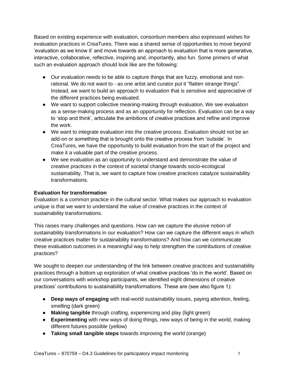Based on existing experience with evaluation, consortium members also expressed wishes for evaluation practices in CreaTures. There was a shared sense of opportunities to move beyond 'evaluation as we know it' and move towards an approach to evaluation that is more generative, interactive, collaborative, reflective, inspiring and, importantly, also fun. Some primers of what such an evaluation approach should look like are the following:

- Our evaluation needs to be able to capture things that are fuzzy, emotional and nonrational. We do not want to - as one artist and curator put it "flatten strange things". Instead, we want to build an approach to evaluation that is sensitive and appreciative of the different practices being evaluated.
- We want to support collective meaning-making through evaluation. We see evaluation as a sense-making process and as an opportunity for reflection. Evaluation can be a way to 'stop and think', articulate the ambitions of creative practices and refine and improve the work.
- We want to integrate evaluation into the creative process. Evaluation should not be an add-on or something that is brought onto the creative process from 'outside'. In CreaTures, we have the opportunity to build evaluation from the start of the project and make it a valuable part of the creative process.
- We see evaluation as an opportunity to understand and demonstrate the value of creative practices in the context of societal change towards socio-ecological sustainability. That is, we want to capture how creative practices catalyze sustainability transformations.

## **Evaluation for transformation**

Evaluation is a common practice in the cultural sector. What makes our approach to evaluation unique is that we want to understand the value of creative practices in the context of sustainability transformations.

This raises many challenges and questions. How can we capture the elusive notion of sustainability transformations in our evaluation? How can we capture the different ways in which creative practices matter for sustainability transformations? And how can we communicate these evaluation outcomes in a meaningful way to help strengthen the contributions of creative practices?

We sought to deepen our understanding of the link between creative practices and sustainability practices through a bottom up exploration of what creative practices 'do in the world'. Based on our conversations with workshop participants, we identified eight dimensions of creative practices' contributions to sustainability transformations. These are (see also figure 1):

- **Deep ways of engaging** with real-world sustainability issues, paying attention, feeling, smelling (dark green)
- **Making tangible** through crafting, experiencing and play (light green)
- **Experimenting** with new ways of doing things, new ways of being in the world, making different futures possible (yellow)
- **Taking small tangible steps** towards improving the world (orange)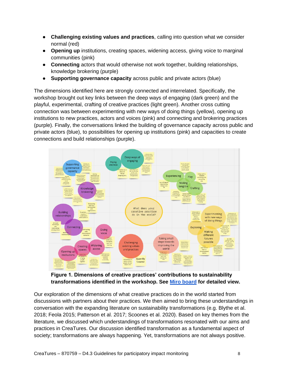- **Challenging existing values and practices**, calling into question what we consider normal (red)
- **Opening up** institutions, creating spaces, widening access, giving voice to marginal communities (pink)
- **Connecting** actors that would otherwise not work together, building relationships, knowledge brokering (purple)
- **Supporting governance capacity** across public and private actors (blue)

The dimensions identified here are strongly connected and interrelated. Specifically, the workshop brought out key links between the deep ways of engaging (dark green) and the playful, experimental, crafting of creative practices (light green). Another cross cutting connection was between experimenting with new ways of doing things (yellow), opening up institutions to new practices, actors and voices (pink) and connecting and brokering practices (purple). Finally, the conversations linked the building of governance capacity across public and private actors (blue), to possibilities for opening up institutions (pink) and capacities to create connections and build relationships (purple).



**Figure 1. Dimensions of creative practices' contributions to sustainability transformations identified in the workshop. See [Miro board](https://miro.com/app/board/o9J_kkIWYpQ=/) for detailed view.**

Our exploration of the dimensions of what creative practices do in the world started from discussions with partners about their practices. We then aimed to bring these understandings in conversation with the expanding literature on sustainability transformations (e.g. Blythe et al. 2018; Feola 2015; Patterson et al. 2017; Scoones et al. 2020). Based on key themes from the literature, we discussed which understandings of transformations resonated with our aims and practices in CreaTures. Our discussion identified transformation as a fundamental aspect of society; transformations are always happening. Yet, transformations are not always positive.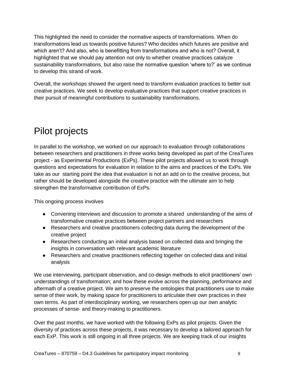This highlighted the need to consider the normative aspects of transformations. When do transformations lead us towards positive futures? Who decides which futures are positive and which aren't? And also, who is benefitting from transformations and who is not? Overall, it highlighted that we should pay attention not only to whether creative practices catalyze sustainability transformations, but also raise the normative question 'where to?' as we continue to develop this strand of work.

Overall, the workshops showed the urgent need to transform evaluation practices to better suit creative practices. We seek to develop evaluative practices that support creative practices in their pursuit of meaningful contributions to sustainability transformations.

# <span id="page-9-0"></span>Pilot projects

In parallel to the workshop, we worked on our approach to evaluation through collaborations between researchers and practitioners in three works being developed as part of the CreaTures project - as Experimental Productions (ExPs). These pilot projects allowed us to work through questions and expectations for evaluation in relation to the aims and practices of the ExPs. We take as our starting point the idea that evaluation is not an add on to the creative process, but rather should be developed alongside the creative practice with the ultimate aim to help strengthen the transformative contribution of ExPs.

This ongoing process involves

- Convening interviews and discussion to promote a shared understanding of the aims of transformative creative practices between project partners and researchers
- Researchers and creative practitioners collecting data during the development of the creative project
- Researchers conducting an initial analysis based on collected data and bringing the insights in conversation with relevant academic literature
- Researchers and creative practitioners reflecting together on collected data and initial analysis

We use interviewing, participant observation, and co-design methods to elicit practitioners' own understandings of transformation; and how these evolve across the planning, performance and aftermath of a creative project. We aim to preserve the ontologies that practitioners use to make sense of their work, by making space for practitioners to articulate their own practices in their own terms. As part of interdisciplinary working, we researchers open up our own analytic processes of sense- and theory-making to practitioners.

Over the past months, we have worked with the following ExPs as pilot projects. Given the diversity of practices across these projects, it was necessary to develop a tailored approach for each ExP. This work is still ongoing in all three projects. We are keeping track of our insights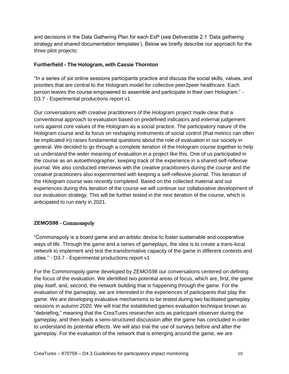and decisions in the Data Gathering Plan for each ExP (see Deliverable 2.1 'Data gathering strategy and shared documentation templates'). Below we briefly describe our approach for the three pilot projects:

#### **Furtherfield - The Hologram, with Cassie Thornton**

"In a series of six online sessions participants practice and discuss the social skills, values, and priorities that are central to the Hologram model for collective peer2peer healthcare. Each person leaves the course empowered to assemble and participate in their own Hologram." - D3.7 - Experimental productions report v1

Our conversations with creative practitioners of the Hologram project made clear that a conventional approach to evaluation based on predefined indicators and external judgement runs against core values of the Hologram as a social practice. The participatory nature of the Hologram course and its focus on reshaping instruments of social control (that metrics can often be implicated in) raises fundamental questions about the role of evaluation in our society in general. We decided to go through a complete iteration of the Hologram course together to help us understand the wider meaning of evaluation in a project like this. One of us participated in the course as an autoethnographer, keeping track of the experience in a shared self-reflexive journal. We also conducted interviews with the creative practitioners during the course and the creative practitioners also experimented with keeping a self-reflexive journal. This iteration of the Hologram course was recently completed. Based on the collected material and our experiences during this iteration of the course we will continue our collaborative development of our evaluation strategy. This will be further tested in the next iteration of the course, which is anticipated to run early in 2021.

#### **ZEMOS98** - Commonspoly

"Commonspoly is a board game and an artistic device to foster sustainable and cooperative ways of life. Through the game and a series of gameplays, the idea is to create a trans-local network to implement and test the transformative capacity of the game in different contexts and cities." - D3.7 - Experimental productions report v1

For the Commonspoly game developed by ZEMOS98 our conversations centered on defining the focus of the evaluation. We identified two potential areas of focus, which are, first, the game play itself, and, second, the network building that is happening through the game. For the evaluation of the gameplay, we are interested in the experiences of participants that play the game. We are developing evaluative mechanisms to be tested during two facilitated gameplay sessions in autumn 2020. We will trial the established games evaluation technique known as "debriefing," meaning that the CreaTures researcher acts as participant observer during the gameplay, and then leads a semi-structured discussion after the game has concluded in order to understand its potential effects. We will also trial the use of surveys before and after the gameplay. For the evaluation of the network that is emerging around the game, we are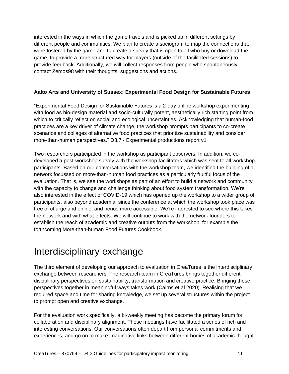interested in the ways in which the game travels and is picked up in different settings by different people and communities. We plan to create a sociogram to map the connections that were fostered by the game and to create a survey that is open to all who buy or download the game, to provide a more structured way for players (outside of the facilitated sessions) to provide feedback. Additionally, we will collect responses from people who spontaneously contact Zemos98 with their thoughts, suggestions and actions.

## **Aalto Arts and University of Sussex: Experimental Food Design for Sustainable Futures**

"Experimental Food Design for Sustainable Futures is a 2-day online workshop experimenting with food as bio-design material and socio-culturally potent, aesthetically rich starting point from which to critically reflect on social and ecological uncertainties. Acknowledging that human-food practices are a key driver of climate change, the workshop prompts participants to co-create scenarios and collages of alternative food practices that prioritize sustainability and consider more-than-human perspectives." D3.7 - Experimental productions report v1

Two researchers participated in the workshop as participant observers. In addition, we codeveloped a post-workshop survey with the workshop facilitators which was sent to all workshop participants. Based on our conversations with the workshop team, we identified the building of a network focussed on more-than-human food practices as a particularly fruitful focus of the evaluation. That is, we see the workshops as part of an effort to build a network and community with the capacity to change and challenge thinking about food system transformation. We're also interested in the effect of COVID-19 which has opened up the workshop to a wider group of participants, also beyond academia, since the conference at which the workshop took place was free of charge and online, and hence more accessible. We're interested to see where this takes the network and with what effects. We will continue to work with the network founders to establish the reach of academic and creative outputs from the workshop, for example the forthcoming More-than-human Food Futures Cookbook.

## <span id="page-11-0"></span>Interdisciplinary exchange

The third element of developing our approach to evaluation in CreaTures is the interdisciplinary exchange between researchers. The research team in CreaTures brings together different disciplinary perspectives on sustainability, transformation and creative practice. Bringing these perspectives together in meaningful ways takes work (Cairns et al 2020). Realising that we required space and time for sharing knowledge, we set up several structures within the project to prompt open and creative exchange.

For the evaluation work specifically, a bi-weekly meeting has become the primary forum for collaboration and disciplinary alignment. These meetings have facilitated a series of rich and interesting conversations. Our conversations often depart from personal commitments and experiences, and go on to make imaginative links between different bodies of academic thought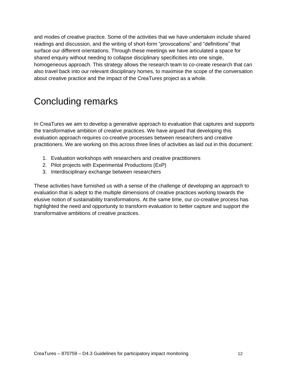and modes of creative practice. Some of the activities that we have undertaken include shared readings and discussion, and the writing of short-form "provocations" and "definitions" that surface our different orientations. Through these meetings we have articulated a space for shared enquiry without needing to collapse disciplinary specificities into one single, homogeneous approach. This strategy allows the research team to co-create research that can also travel back into our relevant disciplinary homes, to maximise the scope of the conversation about creative practice and the impact of the CreaTures project as a whole.

# Concluding remarks

In CreaTures we aim to develop a generative approach to evaluation that captures and supports the transformative ambition of creative practices. We have argued that developing this evaluation approach requires co-creative processes between researchers and creative practitioners. We are working on this across three lines of activities as laid out in this document:

- 1. Evaluation workshops with researchers and creative practitioners
- 2. Pilot projects with Experimental Productions (ExP)
- 3. Interdisciplinary exchange between researchers

These activities have furnished us with a sense of the challenge of developing an approach to evaluation that is adept to the multiple dimensions of creative practices working towards the elusive notion of sustainability transformations. At the same time, our co-creative process has highlighted the need and opportunity to transform evaluation to better capture and support the transformative ambitions of creative practices.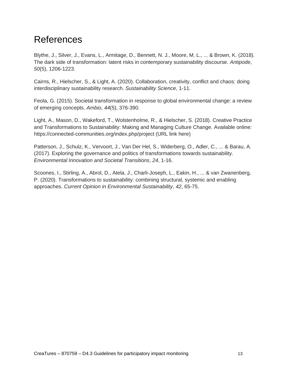## <span id="page-13-0"></span>References

Blythe, J., Silver, J., Evans, L., Armitage, D., Bennett, N. J., Moore, M. L., ... & Brown, K. (2018). The dark side of transformation: latent risks in contemporary sustainability discourse. *Antipode*, *50*(5), 1206-1223.

Cairns, R., Hielscher, S., & Light, A. (2020). Collaboration, creativity, conflict and chaos: doing interdisciplinary sustainability research. *Sustainability Science*, 1-11.

Feola, G. (2015). Societal transformation in response to global environmental change: a review of emerging concepts. *Ambio*, *44*(5), 376-390.

Light, A., Mason, D., Wakeford, T., Wolstenholme, R., & Hielscher, S. (2018). Creative Practice and Transformations to Sustainability: Making and Managing Culture Change. Available online: https://connected-communities.org/index.php/project (URL link here)

Patterson, J., Schulz, K., Vervoort, J., Van Der Hel, S., Widerberg, O., Adler, C., ... & Barau, A. (2017). Exploring the governance and politics of transformations towards sustainability. *Environmental Innovation and Societal Transitions*, *24*, 1-16.

Scoones, I., Stirling, A., Abrol, D., Atela, J., Charli-Joseph, L., Eakin, H., ... & van Zwanenberg, P. (2020). Transformations to sustainability: combining structural, systemic and enabling approaches. *Current Opinion in Environmental Sustainability*, *42*, 65-75.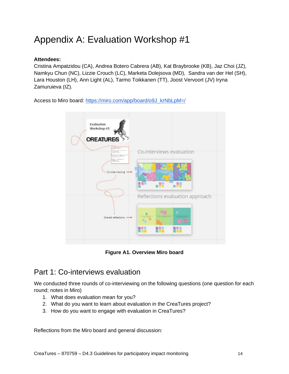# <span id="page-14-0"></span>Appendix A: Evaluation Workshop #1

## **Attendees:**

Cristina Ampatzidou (CA), Andrea Botero Cabrera (AB), Kat Braybrooke (KB), Jaz Choi (JZ), Namkyu Chun (NC), Lizzie Crouch (LC), Marketa Dolejsova (MD), Sandra van der Hel (SH), Lara Houston (LH), Ann Light (AL), Tarmo Toikkanen (TT), Joost Vervoort (JV) Iryna Zamuruieva (IZ).

Access to Miro board[:](https://miro.com/app/board/o9J_krNbLpM=/) [https://miro.com/app/board/o9J\\_krNbLpM=/](https://miro.com/app/board/o9J_krNbLpM=/)



**Figure A1. Overview Miro board**

## <span id="page-14-1"></span>Part 1: Co-interviews evaluation

We conducted three rounds of co-interviewing on the following questions (one question for each round; notes in Miro)

- 1. What does evaluation mean for you?
- 2. What do you want to learn about evaluation in the CreaTures project?
- 3. How do you want to engage with evaluation in CreaTures?

Reflections from the Miro board and general discussion: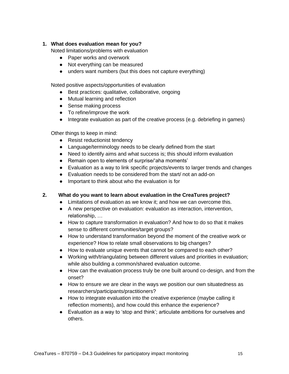#### **1. What does evaluation mean for you?**

Noted limitations/problems with evaluation

- Paper works and overwork
- Not everything can be measured
- unders want numbers (but this does not capture everything)

Noted positive aspects/opportunities of evaluation

- Best practices: qualitative, collaborative, ongoing
- Mutual learning and reflection
- Sense making process
- To refine/improve the work
- Integrate evaluation as part of the creative process (e.g. debriefing in games)

Other things to keep in mind:

- Resist reductionist tendency
- Language/terminology needs to be clearly defined from the start
- Need to identify aims and what success is; this should inform evaluation
- Remain open to elements of surprise/'aha moments'
- Evaluation as a way to link specific projects/events to larger trends and changes
- Evaluation needs to be considered from the start/ not an add-on
- Important to think about who the evaluation is for

#### **2. What do you want to learn about evaluation in the CreaTures project?**

- Limitations of evaluation as we know it; and how we can overcome this.
- A new perspective on evaluation: evaluation as interaction, intervention, relationship, …
- How to capture transformation in evaluation? And how to do so that it makes sense to different communities/target groups?
- How to understand transformation beyond the moment of the creative work or experience? How to relate small observations to big changes?
- How to evaluate unique events that cannot be compared to each other?
- Working with/triangulating between different values and priorities in evaluation; while also building a common/shared evaluation outcome.
- How can the evaluation process truly be one built around co-design, and from the onset?
- How to ensure we are clear in the ways we position our own situatedness as researchers/participants/practitioners?
- How to integrate evaluation into the creative experience (maybe calling it reflection moments), and how could this enhance the experience?
- Evaluation as a way to 'stop and think'; articulate ambitions for ourselves and others.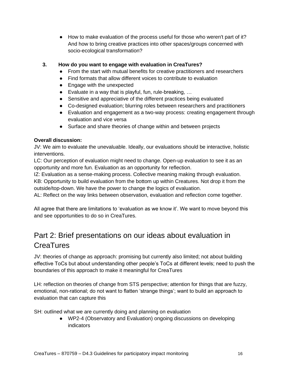● How to make evaluation of the process useful for those who weren't part of it? And how to bring creative practices into other spaces/groups concerned with socio-ecological transformation?

## **3. How do you want to engage with evaluation in CreaTures?**

- From the start with mutual benefits for creative practitioners and researchers
- Find formats that allow different voices to contribute to evaluation
- Engage with the unexpected
- $\bullet$  Evaluate in a way that is playful, fun, rule-breaking, ...
- Sensitive and appreciative of the different practices being evaluated
- Co-designed evaluation; blurring roles between researchers and practitioners
- Evaluation and engagement as a two-way process: creating engagement through evaluation and vice versa
- Surface and share theories of change within and between projects

## **Overall discussion:**

JV: We aim to evaluate the unevaluable. Ideally, our evaluations should be interactive, holistic interventions.

LC: Our perception of evaluation might need to change. Open-up evaluation to see it as an opportunity and more fun. Evaluation as an opportunity for reflection.

IZ: Evaluation as a sense-making process. Collective meaning making through evaluation.

KB: Opportunity to build evaluation from the bottom up within Creatures. Not drop it from the outside/top-down. We have the power to change the logics of evaluation.

AL: Reflect on the way links between observation, evaluation and reflection come together.

All agree that there are limitations to 'evaluation as we know it'. We want to move beyond this and see opportunities to do so in CreaTures.

## <span id="page-16-0"></span>Part 2: Brief presentations on our ideas about evaluation in **CreaTures**

JV: theories of change as approach: promising but currently also limited; not about building effective ToCs but about understanding other people's ToCs at different levels; need to push the boundaries of this approach to make it meaningful for CreaTures

LH: reflection on theories of change from STS perspective; attention for things that are fuzzy, emotional, non-rational; do not want to flatten 'strange things'; want to build an approach to evaluation that can capture this

SH: outlined what we are currently doing and planning on evaluation

● WP2-4 (Observatory and Evaluation) ongoing discussions on developing indicators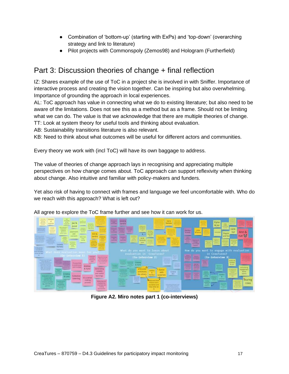- Combination of 'bottom-up' (starting with ExPs) and 'top-down' (overarching strategy and link to literature)
- Pilot projects with Commonspoly (Zemos98) and Hologram (Furtherfield)

## <span id="page-17-0"></span>Part 3: Discussion theories of change + final reflection

IZ: Shares example of the use of ToC in a project she is involved in with Sniffer. Importance of interactive process and creating the vision together. Can be inspiring but also overwhelming. Importance of grounding the approach in local experiences.

AL: ToC approach has value in connecting what we do to existing literature; but also need to be aware of the limitations. Does not see this as a method but as a frame. Should not be limiting what we can do. The value is that we acknowledge that there are multiple theories of change. TT: Look at system theory for useful tools and thinking about evaluation.

AB: Sustainability transitions literature is also relevant.

KB: Need to think about what outcomes will be useful for different actors and communities.

Every theory we work with (incl ToC) will have its own baggage to address.

The value of theories of change approach lays in recognising and appreciating multiple perspectives on how change comes about. ToC approach can support reflexivity when thinking about change. Also intuitive and familiar with policy-makers and funders.

Yet also risk of having to connect with frames and language we feel uncomfortable with. Who do we reach with this approach? What is left out?



All agree to explore the ToC frame further and see how it can work for us.

**Figure A2. Miro notes part 1 (co-interviews)**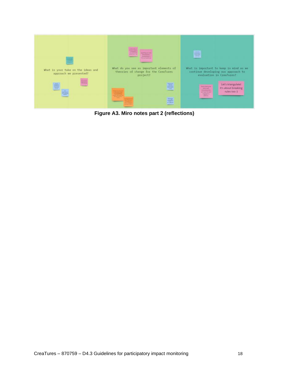

**Figure A3. Miro notes part 2 (reflections)**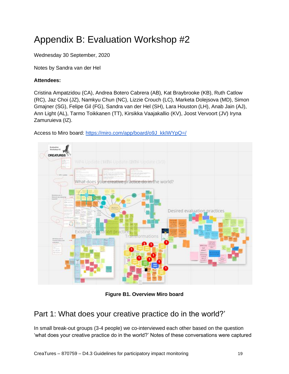# <span id="page-19-0"></span>Appendix B: Evaluation Workshop #2

Wednesday 30 September, 2020

Notes by Sandra van der Hel

## **Attendees:**

Cristina Ampatzidou (CA), Andrea Botero Cabrera (AB), Kat Braybrooke (KB), Ruth Catlow (RC), Jaz Choi (JZ), Namkyu Chun (NC), Lizzie Crouch (LC), Marketa Dolejsova (MD), Simon Gmajner (SG), Felipe Gil (FG), Sandra van der Hel (SH), Lara Houston (LH), Anab Jain (AJ), Ann Light (AL), Tarmo Toikkanen (TT), Kirsikka Vaajakallio (KV), Joost Vervoort (JV) Iryna Zamuruieva (IZ).

Access to Miro board[:](https://miro.com/app/board/o9J_kkIWYpQ=/) [https://miro.com/app/board/o9J\\_kkIWYpQ=/](https://miro.com/app/board/o9J_kkIWYpQ=/)



**Figure B1. Overview Miro board**

## <span id="page-19-1"></span>Part 1: What does your creative practice do in the world?'

In small break-out groups (3-4 people) we co-interviewed each other based on the question 'what does your creative practice do in the world?' Notes of these conversations were captured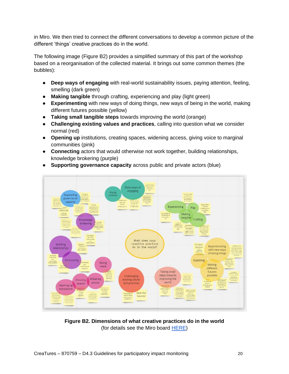in Miro. We then tried to connect the different conversations to develop a common picture of the different 'things' creative practices do in the world.

The following image (Figure B2) provides a simplified summary of this part of the workshop based on a reorganisation of the collected material. It brings out some common themes (the bubbles):

- **Deep ways of engaging** with real-world sustainability issues, paying attention, feeling, smelling (dark green)
- **Making tangible** through crafting, experiencing and play (light green)
- **Experimenting** with new ways of doing things, new ways of being in the world, making different futures possible (yellow)
- **Taking small tangible steps** towards improving the world (orange)
- **Challenging existing values and practices**, calling into question what we consider normal (red)
- **Opening up** institutions, creating spaces, widening access, giving voice to marginal communities (pink)
- **Connecting** actors that would otherwise not work together, building relationships, knowledge brokering (purple)



● **Supporting governance capacity** across public and private actors (blue)

**Figure B2. Dimensions of what creative practices do in the world** (for details see the Miro boar[d](https://miro.com/app/board/o9J_kkIWYpQ=/?moveToWidget=3074457350255911447&cot=12) [HERE\)](https://miro.com/app/board/o9J_kkIWYpQ=/?moveToWidget=3074457350255911447&cot=12)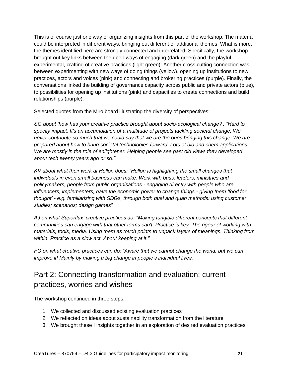This is of course just one way of organizing insights from this part of the workshop. The material could be interpreted in different ways, bringing out different or additional themes. What is more, the themes identified here are strongly connected and interrelated. Specifically, the workshop brought out key links between the deep ways of engaging (dark green) and the playful, experimental, crafting of creative practices (light green). Another cross cutting connection was between experimenting with new ways of doing things (yellow), opening up institutions to new practices, actors and voices (pink) and connecting and brokering practices (purple). Finally, the conversations linked the building of governance capacity across public and private actors (blue), to possibilities for opening up institutions (pink) and capacities to create connections and build relationships (purple).

Selected quotes from the Miro board illustrating the diversity of perspectives:

*SG about 'how has your creative practice brought about socio-ecological change?': "Hard to specify impact. It's an accumulation of a multitude of projects tackling societal change. We never contribute so much that we could say that we are the ones bringing this change. We are prepared about how to bring societal technologies forward. Lots of bio and chem applications. We are mostly in the role of enlightener. Helping people see past old views they developed about tech twenty years ago or so."*

*KV about what their work at Hellon does: "Hellon is highlighting the small changes that individuals in even small business can make. Work with buss. leaders, ministries and policymakers, people from public organisations - engaging directly with people who are influencers, implementers, have the economic power to change things - giving them 'food for thought' - e.g. familiarizing with SDGs, through both qual and quan methods: using customer studies; scenarios; design games"* 

*AJ on what Superflux' creative practices do: "Making tangible different concepts that different communities can engage with that other forms can't. Practice is key. The rigour of working with materials, tools, media. Using them as touch points to unpack layers of meanings. Thinking from within. Practice as a slow act. About keeping at it."*

*FG on what creative practices can do: "Aware that we cannot change the world, but we can improve it! Mainly by making a big change in people's individual lives."*

## <span id="page-21-0"></span>Part 2: Connecting transformation and evaluation: current practices, worries and wishes

The workshop continued in three steps:

- 1. We collected and discussed existing evaluation practices
- 2. We reflected on ideas about sustainability transformation from the literature
- 3. We brought these I insights together in an exploration of desired evaluation practices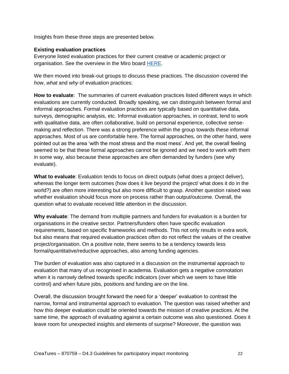Insights from these three steps are presented below.

#### **Existing evaluation practices**

Everyone listed evaluation practices for their current creative or academic project or organisation. See the overview in the Miro boar[d](https://miro.com/app/board/o9J_kkIWYpQ=/?moveToWidget=3074457350588181674&cot=12) [HERE.](https://miro.com/app/board/o9J_kkIWYpQ=/?moveToWidget=3074457350588181674&cot=12)

We then moved into break-out groups to discuss these practices. The discussion covered the *how*, *what* and *why* of evaluation practices:

**How to evaluate**: The summaries of current evaluation practices listed different ways in which evaluations are currently conducted. Broadly speaking, we can distinguish between formal and informal approaches. Formal evaluation practices are typically based on quantitative data, surveys, demographic analysis, etc. Informal evaluation approaches, in contrast, tend to work with qualitative data, are often collaborative, build on personal experience, collective sensemaking and reflection. There was a strong preference within the group towards these informal approaches. Most of us are comfortable here. The formal approaches, on the other hand, were pointed out as the area 'with the most stress and the most mess'. And yet, the overall feeling seemed to be that these formal approaches cannot be ignored and we need to work with them in some way, also because these approaches are often demanded by funders (see why evaluate).

**What to evaluate**: Evaluation tends to focus on direct outputs (what does a project deliver), whereas the longer term outcomes (how does it live beyond the project/ what does it do in the world?) are often more interesting but also more difficult to grasp. Another question raised was whether evaluation should focus more on process rather than output/outcome. Overall, the question what to evaluate received little attention in the discussion.

**Why evaluate**: The demand from multiple partners and funders for evaluation is a burden for organisations in the creative sector. Partners/funders often have specific evaluation requirements, based on specific frameworks and methods. This not only results in extra work, but also means that required evaluation practices often do not reflect the values of the creative project/organisation. On a positive note, there seems to be a tendency towards less formal/quantitative/reductive approaches, also among funding agencies.

The burden of evaluation was also captured in a discussion on the instrumental approach to evaluation that many of us recognised in academia. Evaluation gets a negative connotation when it is narrowly defined towards specific indicators (over which we seem to have little control) and when future jobs, positions and funding are on the line.

Overall, the discussion brought forward the need for a 'deeper' evaluation to contrast the narrow, formal and instrumental approach to evaluation. The question was raised whether and how this deeper evaluation could be oriented towards the mission of creative practices. At the same time, the approach of evaluating against a certain outcome was also questioned. Does it leave room for unexpected insights and elements of surprise? Moreover, the question was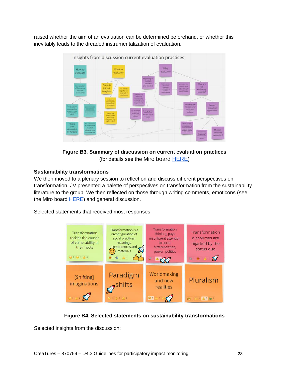raised whether the aim of an evaluation can be determined beforehand, or whether this inevitably leads to the dreaded instrumentalization of evaluation.



**Figure B3. Summary of discussion on current evaluation practices** (for details see the Miro boar[d](https://miro.com/app/board/o9J_kkIWYpQ=/?moveToWidget=3074457350588181674&cot=12) [HERE](https://miro.com/app/board/o9J_kkIWYpQ=/?moveToWidget=3074457350588181674&cot=12))

## **Sustainability transformations**

We then moved to a plenary session to reflect on and discuss different perspectives on transformation. JV presented a palette of perspectives on transformation from the sustainability literature to the group. We then reflected on those through writing comments, emoticons [\(see](https://miro.com/app/board/o9J_kkIWYpQ=/?moveToWidget=3074457350190019574&cot=12)  [the Miro board](https://miro.com/app/board/o9J_kkIWYpQ=/?moveToWidget=3074457350190019574&cot=12) **HERE**) and general discussion.

Selected statements that received most responses:



**Figure B4. Selected statements on sustainability transformations**

Selected insights from the discussion: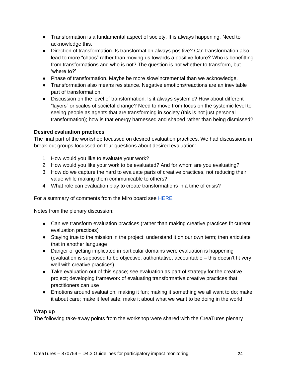- Transformation is a fundamental aspect of society. It is always happening. Need to acknowledge this.
- Direction of transformation. Is transformation always positive? Can transformation also lead to more "chaos" rather than moving us towards a positive future? Who is benefitting from transformations and who is not? The question is not whether to transform, but 'where to?'
- Phase of transformation. Maybe be more slow/incremental than we acknowledge.
- Transformation also means resistance. Negative emotions/reactions are an inevitable part of transformation.
- Discussion on the level of transformation. Is it always systemic? How about different "layers" or scales of societal change? Need to move from focus on the systemic level to seeing people as agents that are transforming in society (this is not just personal transformation); how is that energy harnessed and shaped rather than being dismissed?

## **Desired evaluation practices**

The final part of the workshop focussed on desired evaluation practices. We had discussions in break-out groups focussed on four questions about desired evaluation:

- 1. How would you like to evaluate your work?
- 2. How would you like your work to be evaluated? And for whom are you evaluating?
- 3. How do we capture the hard to evaluate parts of creative practices, not reducing their value while making them communicable to others?
- 4. What role can evaluation play to create transformations in a time of crisis?

For a summary of comments from the Miro board see [HERE](https://miro.com/app/board/o9J_kkIWYpQ=/?moveToWidget=3074457350593497983&cot=12)

Notes from the plenary discussion:

- Can we transform evaluation practices (rather than making creative practices fit current evaluation practices)
- Staying true to the mission in the project; understand it on our own term; then articulate that in another language
- Danger of getting implicated in particular domains were evaluation is happening (evaluation is supposed to be objective, authoritative, accountable – this doesn't fit very well with creative practices)
- Take evaluation out of this space; see evaluation as part of strategy for the creative project; developing framework of evaluating transformative creative practices that practitioners can use
- Emotions around evaluation; making it fun; making it something we all want to do; make it about care; make it feel safe; make it about what we want to be doing in the world.

#### **Wrap up**

The following take-away points from the workshop were shared with the CreaTures plenary